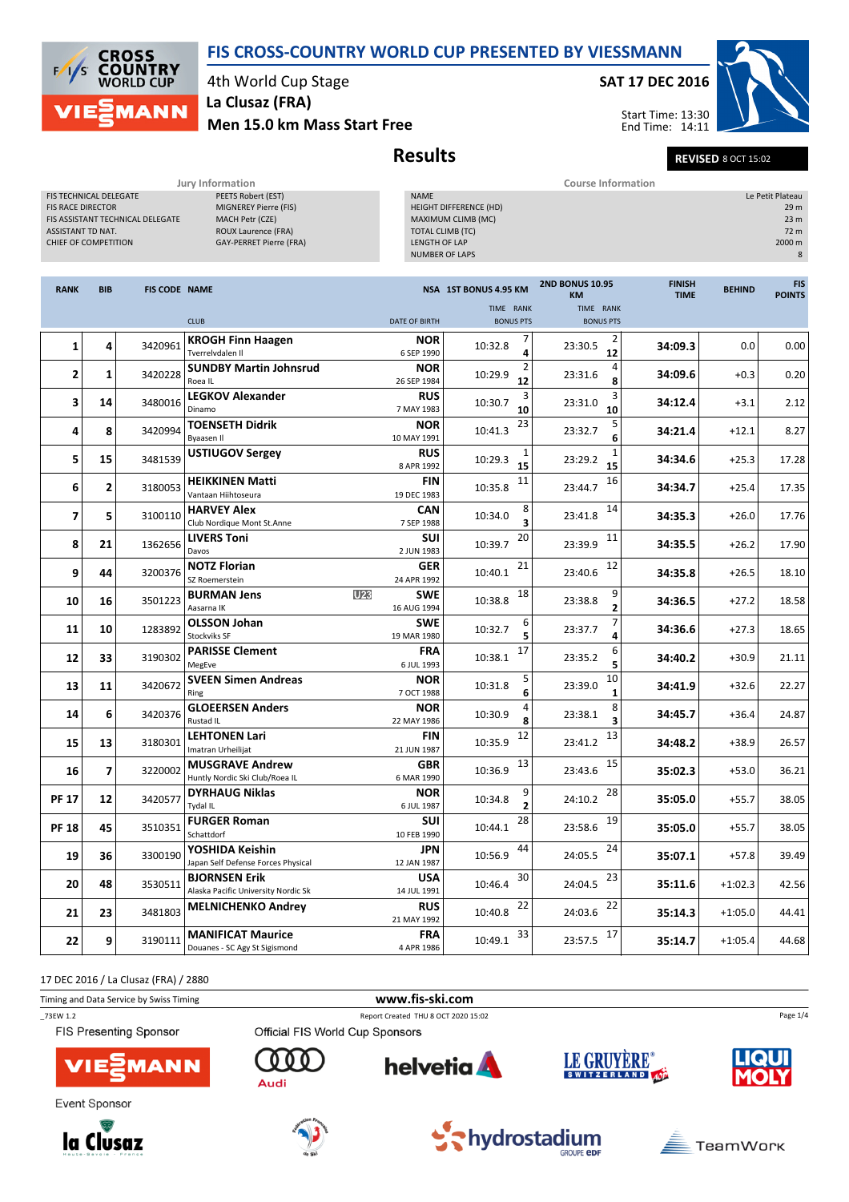FIS CROSS-COUNTRY WORLD CUP PRESENTED BY VIESSMANN



4th World Cup Stage La Clusaz (FRA)

Men 15.0 km Mass Start Free

# Results Revised 8 OCT 15:02

SAT 17 DEC 2016

Start Time: 13:30 End Time: 14:11

|                                                                                                                                                   | Jury Information                                                                                                               |                                                                                                                           | <b>Course Information</b> |               |                |                                                                                          |  |  |  |
|---------------------------------------------------------------------------------------------------------------------------------------------------|--------------------------------------------------------------------------------------------------------------------------------|---------------------------------------------------------------------------------------------------------------------------|---------------------------|---------------|----------------|------------------------------------------------------------------------------------------|--|--|--|
| <b>FIS TECHNICAL DELEGATE</b><br><b>FIS RACE DIRECTOR</b><br>FIS ASSISTANT TECHNICAL DELEGATE<br><b>ASSISTANT TD NAT.</b><br>CHIEF OF COMPETITION | PEETS Robert (EST)<br>MIGNEREY Pierre (FIS)<br>MACH Petr (CZE)<br><b>ROUX Laurence (FRA)</b><br><b>GAY-PERRET Pierre (FRA)</b> | <b>NAME</b><br>HEIGHT DIFFERENCE (HD)<br>MAXIMUM CLIMB (MC)<br>TOTAL CLIMB (TC)<br>LENGTH OF LAP<br><b>NUMBER OF LAPS</b> |                           |               |                | Le Petit Plateau<br>29 <sub>m</sub><br>23 <sub>m</sub><br>72 <sub>m</sub><br>2000 m<br>8 |  |  |  |
|                                                                                                                                                   |                                                                                                                                |                                                                                                                           |                           |               |                |                                                                                          |  |  |  |
| <b>DID</b><br><b>DANIV</b><br>EIC CODE NAME                                                                                                       |                                                                                                                                | MCA 1CT DOMING A OF VAA                                                                                                   | <b>2ND BONUS 10.95</b>    | <b>FINISH</b> | <b>DELININ</b> | <b>FIS</b>                                                                               |  |  |  |

| <b>RANK</b>             | <b>BIB</b>     | <b>FIS CODE NAME</b> |                                                             |                                              | NSA 1ST BONUS 4.95 KM | <b>2ND BONUS 10.95</b><br><b>KM</b> | <b>FINISH</b><br><b>TIME</b> | <b>BEHIND</b> | <b>FIS</b><br><b>POINTS</b> |
|-------------------------|----------------|----------------------|-------------------------------------------------------------|----------------------------------------------|-----------------------|-------------------------------------|------------------------------|---------------|-----------------------------|
|                         |                |                      |                                                             |                                              | TIME RANK             | TIME RANK                           |                              |               |                             |
|                         |                |                      | <b>CLUB</b>                                                 | <b>DATE OF BIRTH</b>                         | <b>BONUS PTS</b>      | <b>BONUS PTS</b>                    |                              |               |                             |
| $\mathbf{1}$            | 4              | 3420961              | <b>KROGH Finn Haagen</b><br>Tverrelydalen II                | <b>NOR</b><br>6 SEP 1990                     | 7<br>10:32.8<br>4     | 2<br>23:30.5<br>12                  | 34:09.3                      | 0.0           | 0.00                        |
| $\overline{\mathbf{2}}$ | $\mathbf{1}$   | 3420228              | <b>SUNDBY Martin Johnsrud</b><br>Roea IL                    | <b>NOR</b><br>26 SEP 1984                    | 2<br>10:29.9<br>12    | 4<br>23:31.6<br>8                   | 34:09.6                      | $+0.3$        | 0.20                        |
| 3                       | 14             | 3480016              | <b>LEGKOV Alexander</b><br>Dinamo                           | <b>RUS</b><br>7 MAY 1983                     | 3<br>10:30.7<br>10    | 3<br>23:31.0<br>10                  | 34:12.4                      | $+3.1$        | 2.12                        |
| 4                       | 8              | 3420994              | <b>TOENSETH Didrik</b><br><b>Byaasen II</b>                 | <b>NOR</b><br>10 MAY 1991                    | 23<br>10:41.3         | 5<br>23:32.7<br>6                   | 34:21.4                      | $+12.1$       | 8.27                        |
| 5                       | 15             | 3481539              | <b>USTIUGOV Sergey</b>                                      | <b>RUS</b><br>8 APR 1992                     | 1<br>10:29.3<br>15    | 23:29.2<br>15                       | 34:34.6                      | $+25.3$       | 17.28                       |
| 6                       | $\overline{2}$ | 3180053              | <b>HEIKKINEN Matti</b><br>Vantaan Hiihtoseura               | <b>FIN</b><br>19 DEC 1983                    | 11<br>10:35.8         | 16<br>23:44.7                       | 34:34.7                      | $+25.4$       | 17.35                       |
| $\overline{7}$          | 5              | 3100110              | <b>HARVEY Alex</b><br>Club Nordique Mont St.Anne            | <b>CAN</b><br>7 SEP 1988                     | 8<br>10:34.0<br>3     | 14<br>23:41.8                       | 34:35.3                      | $+26.0$       | 17.76                       |
| 8                       | 21             | 1362656              | <b>LIVERS Toni</b><br>Davos                                 | <b>SUI</b><br>2 JUN 1983                     | 20<br>10:39.7         | 11<br>23:39.9                       | 34:35.5                      | $+26.2$       | 17.90                       |
| 9                       | 44             | 3200376              | <b>NOTZ Florian</b><br>SZ Roemerstein                       | <b>GER</b><br>24 APR 1992                    | 21<br>10:40.1         | 12<br>23:40.6                       | 34:35.8                      | $+26.5$       | 18.10                       |
| 10                      | 16             | 3501223              | <b>BURMAN Jens</b><br>Aasarna IK                            | U <sub>23</sub><br><b>SWE</b><br>16 AUG 1994 | 18<br>10:38.8         | 9<br>23:38.8                        | 34:36.5                      | +27.2         | 18.58                       |
| 11                      | 10             | 1283892              | <b>OLSSON Johan</b><br><b>Stockviks SF</b>                  | <b>SWE</b><br>19 MAR 1980                    | 6<br>10:32.7          | 7<br>23:37.7<br>4                   | 34:36.6                      | $+27.3$       | 18.65                       |
| 12                      | 33             | 3190302              | <b>PARISSE Clement</b><br>MegEve                            | <b>FRA</b><br>6 JUL 1993                     | 17<br>10:38.1         | 6<br>23:35.2<br>5                   | 34:40.2                      | $+30.9$       | 21.11                       |
| 13                      | 11             | 3420672              | <b>SVEEN Simen Andreas</b><br>Ring                          | <b>NOR</b><br>7 OCT 1988                     | 5<br>10:31.8<br>6     | 10<br>23:39.0<br>$\mathbf{1}$       | 34:41.9                      | $+32.6$       | 22.27                       |
| 14                      | 6              | 3420376              | <b>GLOEERSEN Anders</b><br>Rustad IL                        | <b>NOR</b><br>22 MAY 1986                    | 10:30.9<br>8          | 8<br>23:38.1<br>3                   | 34:45.7                      | $+36.4$       | 24.87                       |
| 15                      | 13             | 3180301              | <b>LEHTONEN Lari</b><br>Imatran Urheilijat                  | <b>FIN</b><br>21 JUN 1987                    | 12<br>10:35.9         | 13<br>23:41.2                       | 34:48.2                      | $+38.9$       | 26.57                       |
| 16                      | $\overline{7}$ | 3220002              | <b>MUSGRAVE Andrew</b><br>Huntly Nordic Ski Club/Roea IL    | <b>GBR</b><br>6 MAR 1990                     | 13<br>10:36.9         | 15<br>23:43.6                       | 35:02.3                      | $+53.0$       | 36.21                       |
| <b>PF 17</b>            | 12             | 3420577              | <b>DYRHAUG Niklas</b><br>Tydal IL                           | <b>NOR</b><br>6 JUL 1987                     | 9<br>10:34.8          | 28<br>24:10.2                       | 35:05.0                      | $+55.7$       | 38.05                       |
| <b>PF 18</b>            | 45             | 3510351              | <b>FURGER Roman</b><br>Schattdorf                           | <b>SUI</b><br>10 FEB 1990                    | 28<br>10:44.1         | 19<br>23:58.6                       | 35:05.0                      | $+55.7$       | 38.05                       |
| 19                      | 36             | 3300190              | YOSHIDA Keishin<br>Japan Self Defense Forces Physical       | <b>JPN</b><br>12 JAN 1987                    | 44<br>10:56.9         | 24<br>24:05.5                       | 35:07.1                      | $+57.8$       | 39.49                       |
| 20                      | 48             | 3530511              | <b>BJORNSEN Erik</b><br>Alaska Pacific University Nordic Sk | <b>USA</b><br>14 JUL 1991                    | 30<br>10:46.4         | 23<br>24:04.5                       | 35:11.6                      | $+1:02.3$     | 42.56                       |
| 21                      | 23             | 3481803              | <b>MELNICHENKO Andrey</b>                                   | <b>RUS</b><br>21 MAY 1992                    | 22<br>10:40.8         | 22<br>24:03.6                       | 35:14.3                      | $+1:05.0$     | 44.41                       |
| 22                      | 9              | 3190111              | <b>MANIFICAT Maurice</b><br>Douanes - SC Agy St Sigismond   | <b>FRA</b><br>4 APR 1986                     | 33<br>10:49.1         | 17<br>23:57.5                       | 35:14.7                      | $+1:05.4$     | 44.68                       |

17 DEC 2016 / La Clusaz (FRA) / 2880

Timing and Data Service by Swiss Timing **www.fis-ski.com** 

**helvetia** 

\_73EW 1.2 Report Created THU 8 OCT 2020 15:02 Official FIS World Cup Sponsors

FIS Presenting Sponsor



Event Sponsor





 $000$ 

Audi



**GROUPE EDF** 





Page 1/4



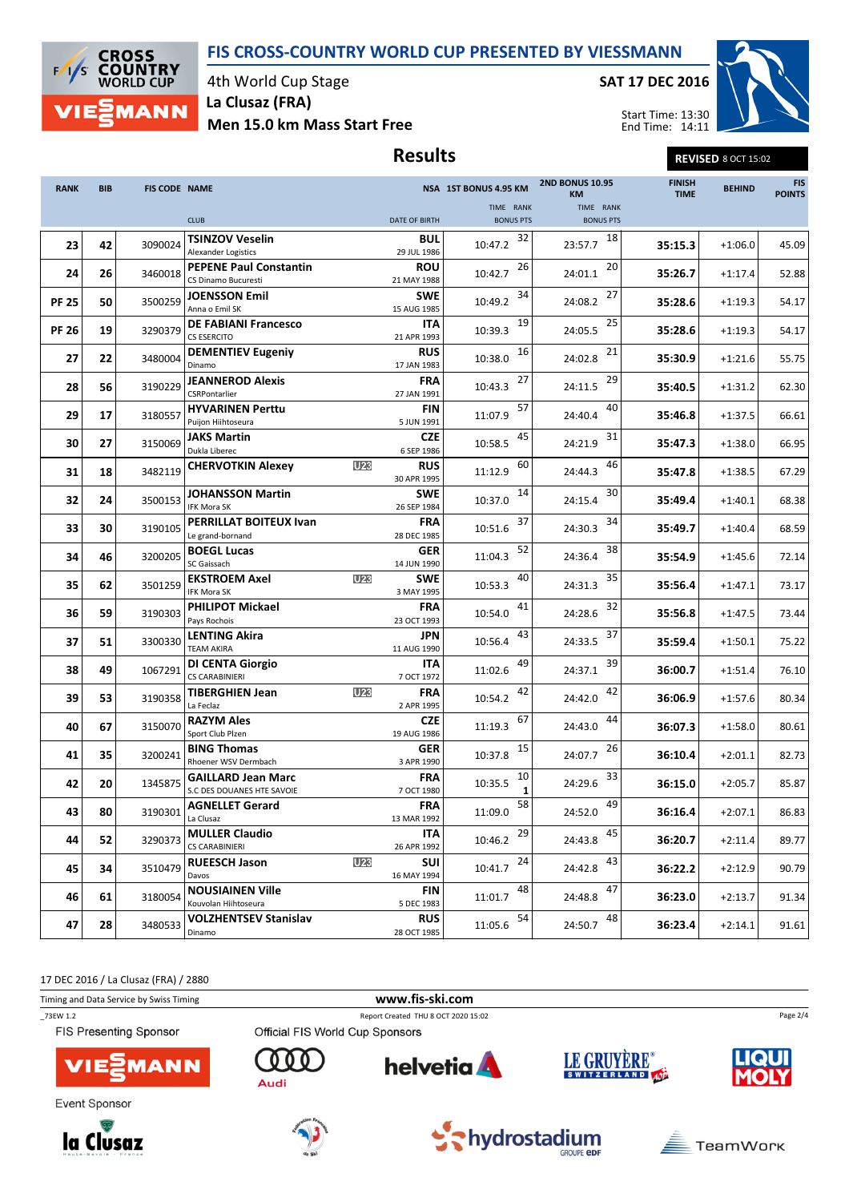### FIS CROSS-COUNTRY WORLD CUP PRESENTED BY VIESSMANN



4th World Cup Stage La Clusaz (FRA)

Men 15.0 km Mass Start Free

### SAT 17 DEC 2016

Results Revised 8 OCT 15:02



Start Time: 13:30 End Time: 14:11

| <b>RANK</b>  | <b>BIB</b> | <b>FIS CODE NAME</b> |                                                         |                 |                           | NSA 1ST BONUS 4.95 KM         | <b>2ND BONUS 10.95</b><br><b>KM</b> | <b>FINISH</b><br><b>TIME</b> | <b>BEHIND</b> | <b>FIS</b><br><b>POINTS</b> |
|--------------|------------|----------------------|---------------------------------------------------------|-----------------|---------------------------|-------------------------------|-------------------------------------|------------------------------|---------------|-----------------------------|
|              |            |                      | <b>CLUB</b>                                             |                 | <b>DATE OF BIRTH</b>      | TIME RANK<br><b>BONUS PTS</b> | TIME RANK<br><b>BONUS PTS</b>       |                              |               |                             |
| 23           | 42         | 3090024              | <b>TSINZOV Veselin</b><br>Alexander Logistics           |                 | <b>BUL</b><br>29 JUL 1986 | 32<br>10:47.2                 | 18<br>23:57.7                       | 35:15.3                      | $+1:06.0$     | 45.09                       |
| 24           | 26         | 3460018              | <b>PEPENE Paul Constantin</b><br>CS Dinamo Bucuresti    |                 | <b>ROU</b><br>21 MAY 1988 | 26<br>10:42.7                 | 20<br>24:01.1                       | 35:26.7                      | $+1:17.4$     | 52.88                       |
| <b>PF 25</b> | 50         | 3500259              | <b>JOENSSON Emil</b><br>Anna o Emil SK                  |                 | <b>SWE</b><br>15 AUG 1985 | 34<br>10:49.2                 | 27<br>24:08.2                       | 35:28.6                      | $+1:19.3$     | 54.17                       |
| <b>PF 26</b> | 19         | 3290379              | <b>DE FABIANI Francesco</b><br><b>CS ESERCITO</b>       |                 | ITA<br>21 APR 1993        | 19<br>10:39.3                 | 25<br>24:05.5                       | 35:28.6                      | $+1:19.3$     | 54.17                       |
| 27           | 22         | 3480004              | <b>DEMENTIEV Eugeniy</b><br>Dinamo                      |                 | <b>RUS</b><br>17 JAN 1983 | 16<br>10:38.0                 | 21<br>24:02.8                       | 35:30.9                      | $+1:21.6$     | 55.75                       |
| 28           | 56         | 3190229              | <b>JEANNEROD Alexis</b><br>CSRPontarlier                |                 | FRA<br>27 JAN 1991        | 27<br>10:43.3                 | 29<br>24:11.5                       | 35:40.5                      | $+1:31.2$     | 62.30                       |
| 29           | 17         | 3180557              | <b>HYVARINEN Perttu</b><br>Puijon Hiihtoseura           |                 | <b>FIN</b><br>5 JUN 1991  | 57<br>11:07.9                 | 40<br>24:40.4                       | 35:46.8                      | $+1:37.5$     | 66.61                       |
| 30           | 27         | 3150069              | <b>JAKS Martin</b><br>Dukla Liberec                     |                 | <b>CZE</b><br>6 SEP 1986  | 45<br>10:58.5                 | 31<br>24:21.9                       | 35:47.3                      | $+1:38.0$     | 66.95                       |
| 31           | 18         | 3482119              | <b>CHERVOTKIN Alexey</b>                                | U <sub>23</sub> | <b>RUS</b><br>30 APR 1995 | 60<br>11:12.9                 | 46<br>24:44.3                       | 35:47.8                      | $+1:38.5$     | 67.29                       |
| 32           | 24         | 3500153              | <b>JOHANSSON Martin</b><br>IFK Mora SK                  |                 | <b>SWE</b><br>26 SEP 1984 | 14<br>10:37.0                 | 30<br>24:15.4                       | 35:49.4                      | $+1:40.1$     | 68.38                       |
| 33           | 30         | 3190105              | <b>PERRILLAT BOITEUX Ivan</b><br>Le grand-bornand       |                 | <b>FRA</b><br>28 DEC 1985 | 37<br>10:51.6                 | 34<br>24:30.3                       | 35:49.7                      | $+1:40.4$     | 68.59                       |
| 34           | 46         | 3200205              | <b>BOEGL Lucas</b><br>SC Gaissach                       |                 | <b>GER</b><br>14 JUN 1990 | 52<br>11:04.3                 | 38<br>24:36.4                       | 35:54.9                      | $+1:45.6$     | 72.14                       |
| 35           | 62         | 3501259              | <b>EKSTROEM Axel</b><br>IFK Mora SK                     | U <sub>23</sub> | <b>SWE</b><br>3 MAY 1995  | 40<br>10:53.3                 | 35<br>24:31.3                       | 35:56.4                      | $+1:47.1$     | 73.17                       |
| 36           | 59         | 3190303              | <b>PHILIPOT Mickael</b><br>Pays Rochois                 |                 | <b>FRA</b><br>23 OCT 1993 | 41<br>10:54.0                 | 32<br>24:28.6                       | 35:56.8                      | $+1:47.5$     | 73.44                       |
| 37           | 51         | 3300330              | <b>LENTING Akira</b><br><b>TEAM AKIRA</b>               |                 | <b>JPN</b><br>11 AUG 1990 | 43<br>10:56.4                 | 37<br>24:33.5                       | 35:59.4                      | $+1:50.1$     | 75.22                       |
| 38           | 49         | 1067291              | <b>DI CENTA Giorgio</b><br><b>CS CARABINIERI</b>        |                 | ITA<br>7 OCT 1972         | 49<br>11:02.6                 | 39<br>24:37.1                       | 36:00.7                      | $+1:51.4$     | 76.10                       |
| 39           | 53         | 3190358              | <b>TIBERGHIEN Jean</b><br>La Feclaz                     | U <sub>23</sub> | <b>FRA</b><br>2 APR 1995  | 42<br>10:54.2                 | 42<br>24:42.0                       | 36:06.9                      | $+1:57.6$     | 80.34                       |
| 40           | 67         | 3150070              | <b>RAZYM Ales</b><br>Sport Club Plzen                   |                 | <b>CZE</b><br>19 AUG 1986 | 67<br>11:19.3                 | 44<br>24:43.0                       | 36:07.3                      | $+1:58.0$     | 80.61                       |
| 41           | 35         | 3200241              | <b>BING Thomas</b><br>Rhoener WSV Dermbach              |                 | <b>GER</b><br>3 APR 1990  | 15<br>10:37.8                 | 26<br>24:07.7                       | 36:10.4                      | $+2:01.1$     | 82.73                       |
| 42           | 20         | 1345875              | <b>GAILLARD Jean Marc</b><br>S.C DES DOUANES HTE SAVOIE |                 | <b>FRA</b><br>7 OCT 1980  | 10<br>10:35.5                 | 33<br>24:29.6                       | 36:15.0                      | $+2:05.7$     | 85.87                       |
| 43           | 80         | 3190301              | <b>AGNELLET Gerard</b><br>La Clusaz                     |                 | FRA<br>13 MAR 1992        | 58<br>11:09.0                 | 49<br>24:52.0                       | 36:16.4                      | $+2:07.1$     | 86.83                       |
| 44           | 52         | 3290373              | <b>MULLER Claudio</b><br><b>CS CARABINIERI</b>          |                 | ITA<br>26 APR 1992        | 29<br>10:46.2                 | 45<br>24:43.8                       | 36:20.7                      | $+2:11.4$     | 89.77                       |
| 45           | 34         | 3510479              | <b>RUEESCH Jason</b><br>Davos                           | <b>U23</b>      | <b>SUI</b><br>16 MAY 1994 | 24<br>10:41.7                 | 43<br>24:42.8                       | 36:22.2                      | $+2:12.9$     | 90.79                       |
| 46           | 61         | 3180054              | <b>NOUSIAINEN Ville</b><br>Kouvolan Hiihtoseura         |                 | <b>FIN</b><br>5 DEC 1983  | 48<br>11:01.7                 | 47<br>24:48.8                       | 36:23.0                      | $+2:13.7$     | 91.34                       |
| 47           | 28         | 3480533              | <b>VOLZHENTSEV Stanislav</b><br>Dinamo                  |                 | <b>RUS</b><br>28 OCT 1985 | 54<br>11:05.6                 | 48<br>24:50.7                       | 36:23.4                      | $+2:14.1$     | 91.61                       |

17 DEC 2016 / La Clusaz (FRA) / 2880

Timing and Data Service by Swiss Timing www.fis-ski.com

Official FIS World Cup Sponsors

\_73EW 1.2 Report Created THU 8 OCT 2020 15:02

**helvetia** 

FIS Presenting Sponsor



Event Sponsor





O 0 O

Audi





**GROUPE EDF** 



Page 2/4

**TeamWork** 

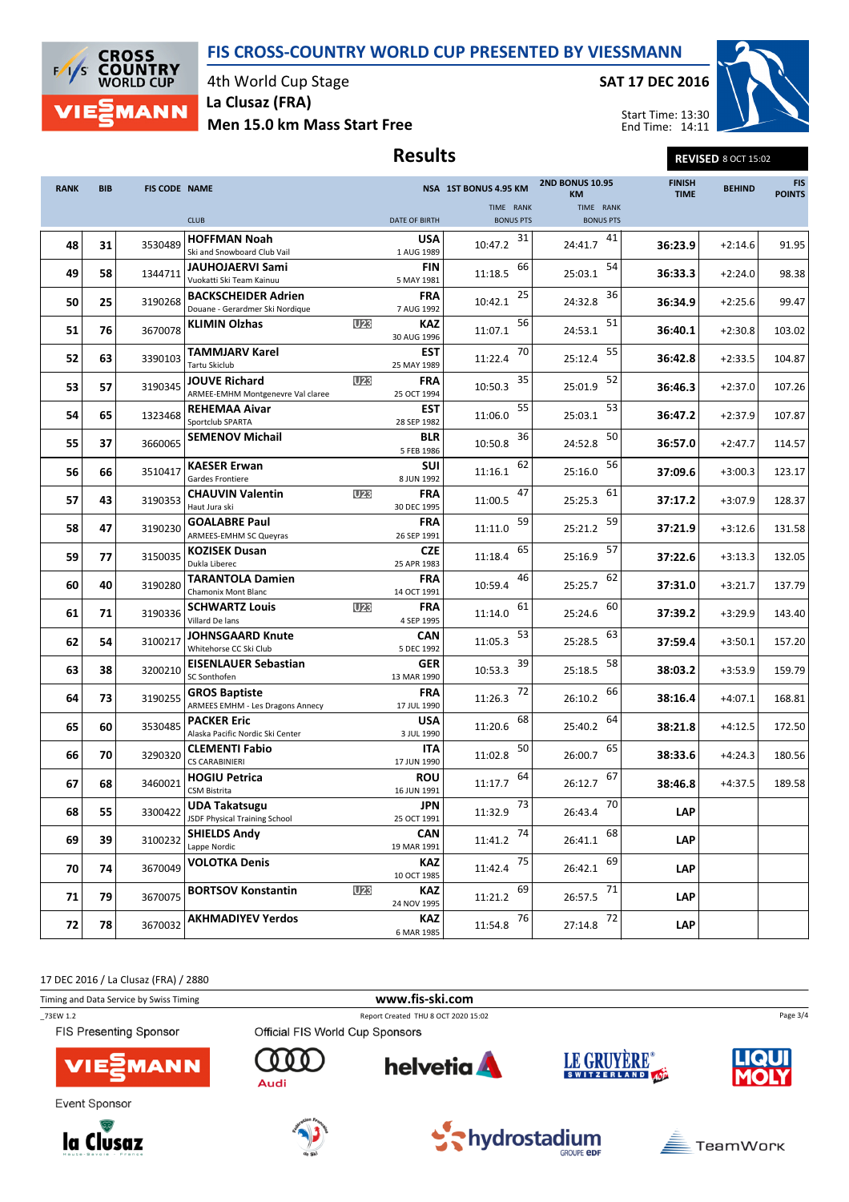### FIS CROSS-COUNTRY WORLD CUP PRESENTED BY VIESSMANN



4th World Cup Stage La Clusaz (FRA)

Men 15.0 km Mass Start Free

### SAT 17 DEC 2016

Results Revised 8 OCT 15:02



Start Time: 13:30 End Time: 14:11

| <b>RANK</b> | <b>BIB</b> | <b>FIS CODE NAME</b> |                                                                 |                 |                           | NSA 1ST BONUS 4.95 KM         | <b>2ND BONUS 10.95</b><br><b>KM</b> | <b>FINISH</b><br><b>TIME</b> | <b>BEHIND</b> | <b>FIS</b><br><b>POINTS</b> |
|-------------|------------|----------------------|-----------------------------------------------------------------|-----------------|---------------------------|-------------------------------|-------------------------------------|------------------------------|---------------|-----------------------------|
|             |            |                      | <b>CLUB</b>                                                     |                 | <b>DATE OF BIRTH</b>      | TIME RANK<br><b>BONUS PTS</b> | TIME RANK<br><b>BONUS PTS</b>       |                              |               |                             |
| 48          | 31         | 3530489              | <b>HOFFMAN Noah</b><br>Ski and Snowboard Club Vail              |                 | USA<br>1 AUG 1989         | 31<br>10:47.2                 | 41<br>24:41.7                       | 36:23.9                      | $+2:14.6$     | 91.95                       |
| 49          | 58         | 1344711              | <b>JAUHOJAERVI Sami</b><br>Vuokatti Ski Team Kainuu             |                 | <b>FIN</b><br>5 MAY 1981  | 66<br>11:18.5                 | 54<br>25:03.1                       | 36:33.3                      | $+2:24.0$     | 98.38                       |
| 50          | 25         | 3190268              | <b>BACKSCHEIDER Adrien</b><br>Douane - Gerardmer Ski Nordique   |                 | <b>FRA</b><br>7 AUG 1992  | 25<br>10:42.1                 | 36<br>24:32.8                       | 36:34.9                      | $+2:25.6$     | 99.47                       |
| 51          | 76         | 3670078              | <b>KLIMIN Olzhas</b>                                            | U <sub>23</sub> | <b>KAZ</b><br>30 AUG 1996 | 56<br>11:07.1                 | 51<br>24:53.1                       | 36:40.1                      | $+2:30.8$     | 103.02                      |
| 52          | 63         | 3390103              | <b>TAMMJARV Karel</b><br><b>Tartu Skiclub</b>                   |                 | <b>EST</b><br>25 MAY 1989 | 70<br>11:22.4                 | 55<br>25:12.4                       | 36:42.8                      | $+2:33.5$     | 104.87                      |
| 53          | 57         | 3190345              | <b>JOUVE Richard</b><br>ARMEE-EMHM Montgenevre Val claree       | U <sub>23</sub> | <b>FRA</b><br>25 OCT 1994 | 35<br>10:50.3                 | 52<br>25:01.9                       | 36:46.3                      | $+2:37.0$     | 107.26                      |
| 54          | 65         | 1323468              | <b>REHEMAA Aivar</b><br>Sportclub SPARTA                        |                 | <b>EST</b><br>28 SEP 1982 | 55<br>11:06.0                 | 53<br>25:03.1                       | 36:47.2                      | $+2:37.9$     | 107.87                      |
| 55          | 37         | 3660065              | <b>SEMENOV Michail</b>                                          |                 | <b>BLR</b><br>5 FEB 1986  | 36<br>10:50.8                 | 50<br>24:52.8                       | 36:57.0                      | $+2:47.7$     | 114.57                      |
| 56          | 66         | 3510417              | <b>KAESER Erwan</b><br>Gardes Frontiere                         |                 | <b>SUI</b><br>8 JUN 1992  | 62<br>11:16.1                 | 56<br>25:16.0                       | 37:09.6                      | $+3:00.3$     | 123.17                      |
| 57          | 43         | 3190353              | <b>CHAUVIN Valentin</b><br>Haut Jura ski                        | U <sub>23</sub> | <b>FRA</b><br>30 DEC 1995 | 47<br>11:00.5                 | 61<br>25:25.3                       | 37:17.2                      | $+3:07.9$     | 128.37                      |
| 58          | 47         | 3190230              | <b>GOALABRE Paul</b><br>ARMEES-EMHM SC Queyras                  |                 | <b>FRA</b><br>26 SEP 1991 | 59<br>11:11.0                 | 59<br>25:21.2                       | 37:21.9                      | $+3:12.6$     | 131.58                      |
| 59          | 77         | 3150035              | <b>KOZISEK Dusan</b><br>Dukla Liberec                           |                 | <b>CZE</b><br>25 APR 1983 | 65<br>11:18.4                 | 57<br>25:16.9                       | 37:22.6                      | $+3:13.3$     | 132.05                      |
| 60          | 40         | 3190280              | <b>TARANTOLA Damien</b><br><b>Chamonix Mont Blanc</b>           |                 | <b>FRA</b><br>14 OCT 1991 | 46<br>10:59.4                 | 62<br>25:25.7                       | 37:31.0                      | $+3:21.7$     | 137.79                      |
| 61          | 71         | 3190336              | <b>SCHWARTZ Louis</b><br>Villard De lans                        | U <sub>23</sub> | <b>FRA</b><br>4 SEP 1995  | 61<br>11:14.0                 | 60<br>25:24.6                       | 37:39.2                      | $+3:29.9$     | 143.40                      |
| 62          | 54         | 3100217              | <b>JOHNSGAARD Knute</b><br>Whitehorse CC Ski Club               |                 | <b>CAN</b><br>5 DEC 1992  | 53<br>11:05.3                 | 63<br>25:28.5                       | 37:59.4                      | $+3:50.1$     | 157.20                      |
| 63          | 38         | 3200210              | <b>EISENLAUER Sebastian</b><br>SC Sonthofen                     |                 | GER<br>13 MAR 1990        | 39<br>10:53.3                 | 58<br>25:18.5                       | 38:03.2                      | $+3:53.9$     | 159.79                      |
| 64          | 73         | 3190255              | <b>GROS Baptiste</b><br><b>ARMEES EMHM - Les Dragons Annecy</b> |                 | <b>FRA</b><br>17 JUL 1990 | 72<br>11:26.3                 | 66<br>26:10.2                       | 38:16.4                      | $+4:07.1$     | 168.81                      |
| 65          | 60         | 3530485              | <b>PACKER Eric</b><br>Alaska Pacific Nordic Ski Center          |                 | USA<br>3 JUL 1990         | 68<br>11:20.6                 | 64<br>25:40.2                       | 38:21.8                      | $+4:12.5$     | 172.50                      |
| 66          | 70         | 3290320              | <b>CLEMENTI Fabio</b><br><b>CS CARABINIERI</b>                  |                 | ITA<br>17 JUN 1990        | 50<br>11:02.8                 | 65<br>26:00.7                       | 38:33.6                      | $+4:24.3$     | 180.56                      |
| 67          | 68         | 3460021              | <b>HOGIU Petrica</b><br><b>CSM Bistrita</b>                     |                 | <b>ROU</b><br>16 JUN 1991 | 64<br>11:17.7                 | 67<br>26:12.7                       | 38:46.8                      | $+4:37.5$     | 189.58                      |
| 68          | 55         | 3300422              | <b>UDA Takatsugu</b><br>JSDF Physical Training School           |                 | JPN<br>25 OCT 1991        | 73<br>11:32.9                 | 70<br>26:43.4                       | <b>LAP</b>                   |               |                             |
| 69          | 39         | 3100232              | <b>SHIELDS Andy</b><br>Lappe Nordic                             |                 | <b>CAN</b><br>19 MAR 1991 | 74<br>11:41.2                 | 68<br>26:41.1                       | LAP                          |               |                             |
| 70          | 74         | 3670049              | <b>VOLOTKA Denis</b>                                            |                 | <b>KAZ</b><br>10 OCT 1985 | 75<br>11:42.4                 | 69<br>26:42.1                       | LAP                          |               |                             |
| 71          | 79         | 3670075              | <b>BORTSOV Konstantin</b>                                       | U <sub>23</sub> | <b>KAZ</b><br>24 NOV 1995 | 69<br>11:21.2                 | 71<br>26:57.5                       | <b>LAP</b>                   |               |                             |
| 72          | 78         | 3670032              | <b>AKHMADIYEV Yerdos</b>                                        |                 | <b>KAZ</b><br>6 MAR 1985  | 76<br>11:54.8                 | 72<br>27:14.8                       | <b>LAP</b>                   |               |                             |

17 DEC 2016 / La Clusaz (FRA) / 2880

Timing and Data Service by Swiss Timing www.fis-ski.com

\_73EW 1.2 Report Created THU 8 OCT 2020 15:02 FIS Presenting Sponsor

Official FIS World Cup Sponsors

Audi



Event Sponsor





000



**helvetia** 

LE GRUYÈRE®



Page 3/4